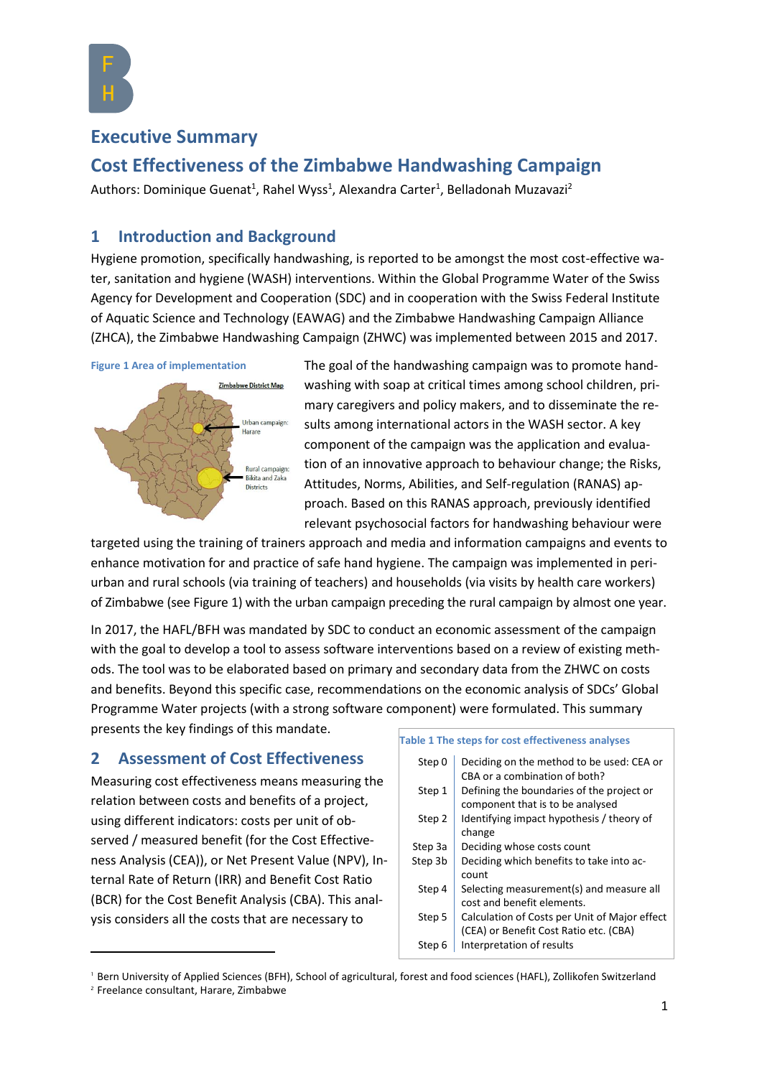

# **Executive Summary**

# **Cost Effectiveness of the Zimbabwe Handwashing Campaign**

Authors: Dominique Guenat<sup>1</sup>, Rahel Wyss<sup>1</sup>, Alexandra Carter<sup>1</sup>, Belladonah Muzavazi<sup>2</sup>

# **1 Introduction and Background**

Hygiene promotion, specifically handwashing, is reported to be amongst the most cost-effective water, sanitation and hygiene (WASH) interventions. Within the Global Programme Water of the Swiss Agency for Development and Cooperation (SDC) and in cooperation with the Swiss Federal Institute of Aquatic Science and Technology (EAWAG) and the Zimbabwe Handwashing Campaign Alliance (ZHCA), the Zimbabwe Handwashing Campaign (ZHWC) was implemented between 2015 and 2017.

<span id="page-0-0"></span>

The goal of the handwashing campaign was to promote handwashing with soap at critical times among school children, primary caregivers and policy makers, and to disseminate the results among international actors in the WASH sector. A key component of the campaign was the application and evaluation of an innovative approach to behaviour change; the Risks, Attitudes, Norms, Abilities, and Self-regulation (RANAS) approach. Based on this RANAS approach, previously identified relevant psychosocial factors for handwashing behaviour were

targeted using the training of trainers approach and media and information campaigns and events to enhance motivation for and practice of safe hand hygiene. The campaign was implemented in periurban and rural schools (via training of teachers) and households (via visits by health care workers) of Zimbabwe (see [Figure 1\)](#page-0-0) with the urban campaign preceding the rural campaign by almost one year.

In 2017, the HAFL/BFH was mandated by SDC to conduct an economic assessment of the campaign with the goal to develop a tool to assess software interventions based on a review of existing methods. The tool was to be elaborated based on primary and secondary data from the ZHWC on costs and benefits. Beyond this specific case, recommendations on the economic analysis of SDCs' Global Programme Water projects (with a strong software component) were formulated. This summary presents the key findings of this mandate.

# **2 Assessment of Cost Effectiveness**

Measuring cost effectiveness means measuring the relation between costs and benefits of a project, using different indicators: costs per unit of observed / measured benefit (for the Cost Effectiveness Analysis (CEA)), or Net Present Value (NPV), Internal Rate of Return (IRR) and Benefit Cost Ratio (BCR) for the Cost Benefit Analysis (CBA). This analysis considers all the costs that are necessary to

#### **Table 1 The steps for cost effectiveness analyses**

| Step 0  | Deciding on the method to be used: CEA or     |
|---------|-----------------------------------------------|
|         | CBA or a combination of both?                 |
| Step 1  | Defining the boundaries of the project or     |
|         | component that is to be analysed              |
| Step 2  | Identifying impact hypothesis / theory of     |
|         | change                                        |
| Step 3a | Deciding whose costs count                    |
| Step 3b | Deciding which benefits to take into ac-      |
|         | count                                         |
| Step 4  | Selecting measurement(s) and measure all      |
|         | cost and benefit elements.                    |
| Step 5  | Calculation of Costs per Unit of Major effect |
|         | (CEA) or Benefit Cost Ratio etc. (CBA)        |
| Step 6  | Interpretation of results                     |
|         |                                               |

<sup>1</sup> Bern University of Applied Sciences (BFH), School of agricultural, forest and food sciences (HAFL), Zollikofen Switzerland

 $\overline{a}$ 

<sup>2</sup> Freelance consultant, Harare, Zimbabwe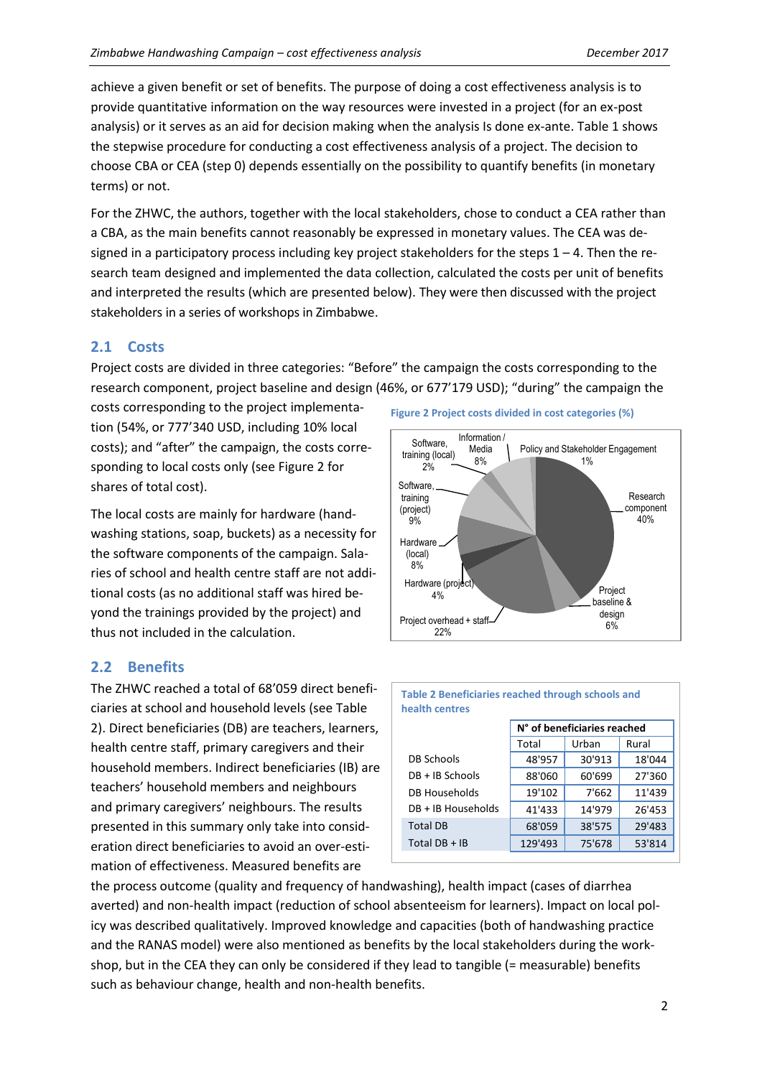achieve a given benefit or set of benefits. The purpose of doing a cost effectiveness analysis is to provide quantitative information on the way resources were invested in a project (for an ex-post analysis) or it serves as an aid for decision making when the analysis Is done ex-ante. Table 1 shows the stepwise procedure for conducting a cost effectiveness analysis of a project. The decision to choose CBA or CEA (step 0) depends essentially on the possibility to quantify benefits (in monetary terms) or not.

For the ZHWC, the authors, together with the local stakeholders, chose to conduct a CEA rather than a CBA, as the main benefits cannot reasonably be expressed in monetary values. The CEA was designed in a participatory process including key project stakeholders for the steps  $1 - 4$ . Then the research team designed and implemented the data collection, calculated the costs per unit of benefits and interpreted the results (which are presented below). They were then discussed with the project stakeholders in a series of workshops in Zimbabwe.

# **2.1 Costs**

Project costs are divided in three categories: "Before" the campaign the costs corresponding to the research component, project baseline and design (46%, or 677'179 USD); "during" the campaign the

costs corresponding to the project implementation (54%, or 777'340 USD, including 10% local costs); and "after" the campaign, the costs corresponding to local costs only (se[e Figure 2](#page-1-0) for shares of total cost).

The local costs are mainly for hardware (handwashing stations, soap, buckets) as a necessity for the software components of the campaign. Salaries of school and health centre staff are not additional costs (as no additional staff was hired beyond the trainings provided by the project) and thus not included in the calculation.

# **2.2 Benefits**

The ZHWC reached a total of 68'059 direct beneficiaries at school and household levels (see Table 2). Direct beneficiaries (DB) are teachers, learners, health centre staff, primary caregivers and their household members. Indirect beneficiaries (IB) are teachers' household members and neighbours and primary caregivers' neighbours. The results presented in this summary only take into consideration direct beneficiaries to avoid an over-estimation of effectiveness. Measured benefits are

<span id="page-1-0"></span>





the process outcome (quality and frequency of handwashing), health impact (cases of diarrhea averted) and non-health impact (reduction of school absenteeism for learners). Impact on local policy was described qualitatively. Improved knowledge and capacities (both of handwashing practice and the RANAS model) were also mentioned as benefits by the local stakeholders during the workshop, but in the CEA they can only be considered if they lead to tangible (= measurable) benefits such as behaviour change, health and non-health benefits.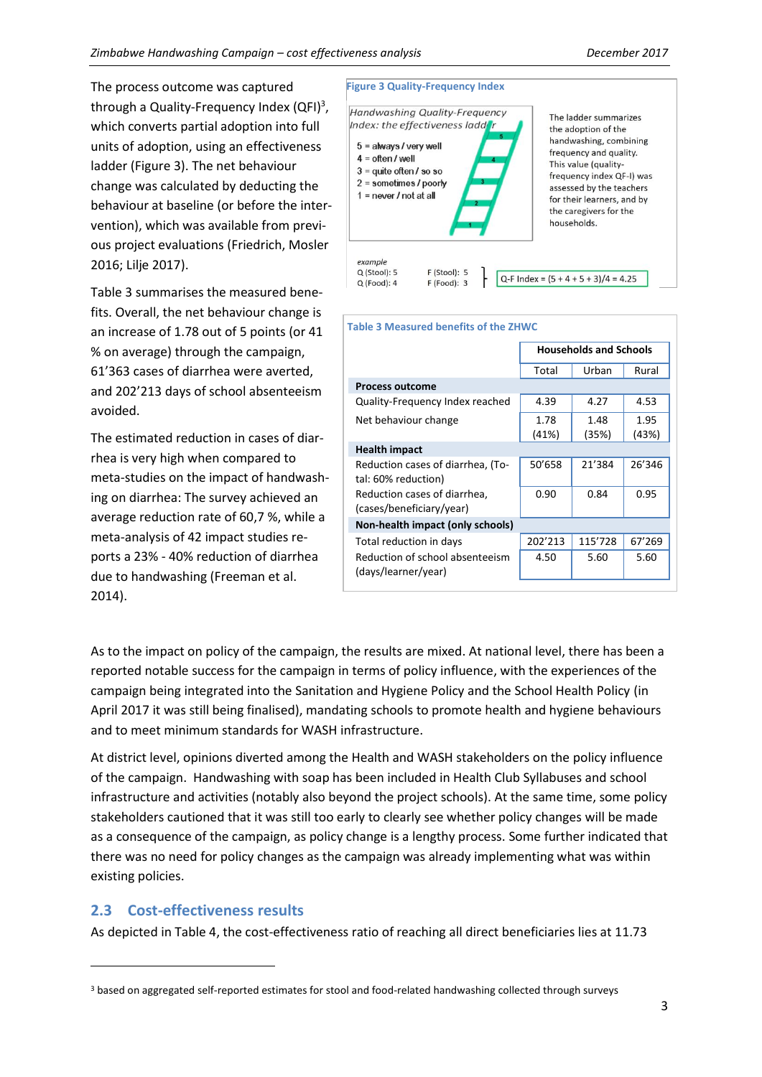The process outcome was captured through a Quality-Frequency Index (QFI)<sup>3</sup>, which converts partial adoption into full units of adoption, using an effectiveness ladder [\(Figure 3\)](#page-2-0). The net behaviour change was calculated by deducting the behaviour at baseline (or before the intervention), which was available from previous project evaluations (Friedrich, Mosler 2016; Lilje 2017).

Table 3 summarises the measured benefits. Overall, the net behaviour change is an increase of 1.78 out of 5 points (or 41 % on average) through the campaign, 61'363 cases of diarrhea were averted, and 202'213 days of school absenteeism avoided.

The estimated reduction in cases of diarrhea is very high when compared to meta-studies on the impact of handwashing on diarrhea: The survey achieved an average reduction rate of 60,7 %, while a meta-analysis of 42 impact studies reports a 23% - 40% reduction of diarrhea due to handwashing (Freeman et al. 2014).

<span id="page-2-0"></span>

| <b>Table 3 Measured benefits of the ZHWC</b>             |                               |               |               |  |  |
|----------------------------------------------------------|-------------------------------|---------------|---------------|--|--|
|                                                          | <b>Households and Schools</b> |               |               |  |  |
|                                                          | Total                         | Urban         | Rural         |  |  |
| <b>Process outcome</b>                                   |                               |               |               |  |  |
| Quality-Frequency Index reached                          | 4.39                          | 4.27          | 4.53          |  |  |
| Net behaviour change                                     | 1.78<br>(41%)                 | 1.48<br>(35%) | 1.95<br>(43%) |  |  |
| <b>Health impact</b>                                     |                               |               |               |  |  |
| Reduction cases of diarrhea, (To-<br>tal: 60% reduction) | 50'658                        | 21'384        | 26'346        |  |  |
| Reduction cases of diarrhea,<br>(cases/beneficiary/year) | 0.90                          | 0.84          | 0.95          |  |  |
| Non-health impact (only schools)                         |                               |               |               |  |  |
| Total reduction in days                                  | 202'213                       | 115'728       | 67'269        |  |  |
| Reduction of school absenteeism<br>(days/learner/year)   | 4.50                          | 5.60          | 5.60          |  |  |

As to the impact on policy of the campaign, the results are mixed. At national level, there has been a reported notable success for the campaign in terms of policy influence, with the experiences of the campaign being integrated into the Sanitation and Hygiene Policy and the School Health Policy (in April 2017 it was still being finalised), mandating schools to promote health and hygiene behaviours and to meet minimum standards for WASH infrastructure.

At district level, opinions diverted among the Health and WASH stakeholders on the policy influence of the campaign. Handwashing with soap has been included in Health Club Syllabuses and school infrastructure and activities (notably also beyond the project schools). At the same time, some policy stakeholders cautioned that it was still too early to clearly see whether policy changes will be made as a consequence of the campaign, as policy change is a lengthy process. Some further indicated that there was no need for policy changes as the campaign was already implementing what was within existing policies.

## **2.3 Cost-effectiveness results**

 $\overline{a}$ 

As depicted in Table 4, the cost-effectiveness ratio of reaching all direct beneficiaries lies at 11.73

<sup>3</sup> based on aggregated self-reported estimates for stool and food-related handwashing collected through surveys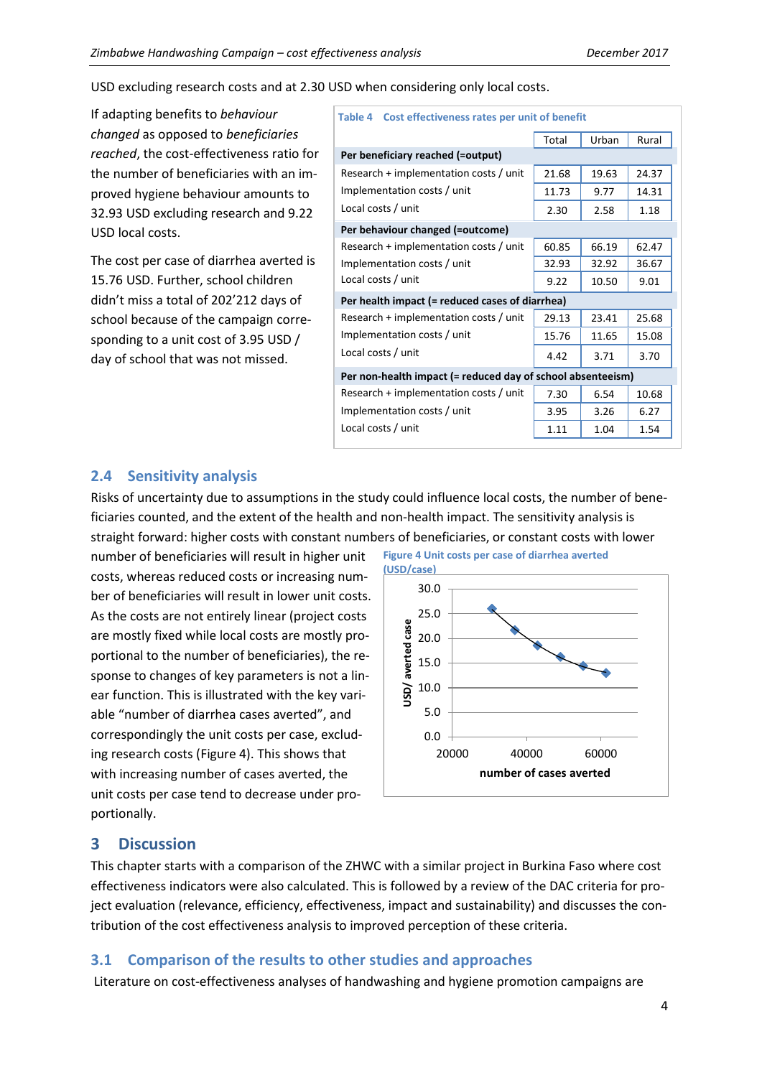USD excluding research costs and at 2.30 USD when considering only local costs.

If adapting benefits to *behaviour changed* as opposed to *beneficiaries reached*, the cost-effectiveness ratio for the number of beneficiaries with an improved hygiene behaviour amounts to 32.93 USD excluding research and 9.22 USD local costs.

The cost per case of diarrhea averted is 15.76 USD. Further, school children didn't miss a total of 202'212 days of school because of the campaign corresponding to a unit cost of 3.95 USD / day of school that was not missed.

| Table 4 Cost effectiveness rates per unit of benefit        |       |               |       |  |  |
|-------------------------------------------------------------|-------|---------------|-------|--|--|
|                                                             | Total | Urban         | Rural |  |  |
| Per beneficiary reached (=output)                           |       |               |       |  |  |
| Research + implementation costs / unit                      | 21.68 | 19.63         | 24.37 |  |  |
| Implementation costs / unit                                 | 11.73 | 9.77          | 14.31 |  |  |
| Local costs / unit                                          | 2.30  | 1.18<br>2.58  |       |  |  |
| Per behaviour changed (=outcome)                            |       |               |       |  |  |
| Research + implementation costs / unit                      | 60.85 | 66.19         | 62.47 |  |  |
| Implementation costs / unit                                 | 32.93 | 32.92         | 36.67 |  |  |
| Local costs / unit                                          | 9.22  | 9.01<br>10.50 |       |  |  |
| Per health impact (= reduced cases of diarrhea)             |       |               |       |  |  |
| Research + implementation costs / unit                      | 29.13 | 23.41         | 25.68 |  |  |
| Implementation costs / unit                                 | 15.76 | 11.65         | 15.08 |  |  |
| Local costs / unit                                          | 4.42  | 3.71          | 3.70  |  |  |
| Per non-health impact (= reduced day of school absenteeism) |       |               |       |  |  |
| Research + implementation costs / unit                      | 7.30  | 6.54          | 10.68 |  |  |
| Implementation costs / unit                                 | 3.95  | 3.26          | 6.27  |  |  |
| Local costs / unit                                          | 1.11  | 1.04          | 1.54  |  |  |

### **2.4 Sensitivity analysis**

Risks of uncertainty due to assumptions in the study could influence local costs, the number of beneficiaries counted, and the extent of the health and non-health impact. The sensitivity analysis is straight forward: higher costs with constant numbers of beneficiaries, or constant costs with lower

number of beneficiaries will result in higher unit costs, whereas reduced costs or increasing number of beneficiaries will result in lower unit costs. As the costs are not entirely linear (project costs are mostly fixed while local costs are mostly proportional to the number of beneficiaries), the response to changes of key parameters is not a linear function. This is illustrated with the key variable "number of diarrhea cases averted", and correspondingly the unit costs per case, excluding research costs [\(Figure 4\)](#page-3-0). This shows that with increasing number of cases averted, the unit costs per case tend to decrease under proportionally.

<span id="page-3-0"></span>**Figure 4 Unit costs per case of diarrhea averted** 



## **3 Discussion**

This chapter starts with a comparison of the ZHWC with a similar project in Burkina Faso where cost effectiveness indicators were also calculated. This is followed by a review of the DAC criteria for project evaluation (relevance, efficiency, effectiveness, impact and sustainability) and discusses the contribution of the cost effectiveness analysis to improved perception of these criteria.

## **3.1 Comparison of the results to other studies and approaches**

Literature on cost-effectiveness analyses of handwashing and hygiene promotion campaigns are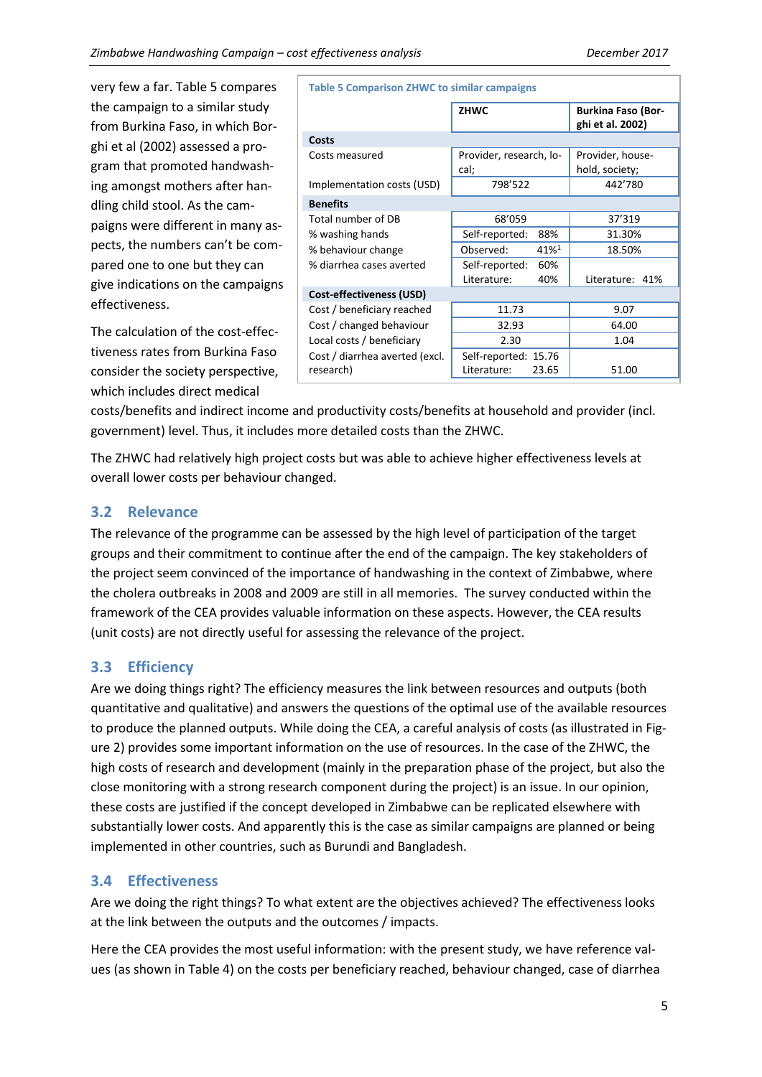very few a far[. Table 5](#page-4-0) compares the campaign to a similar study from Burkina Faso, in which Borghi et al (2002) assessed a program that promoted handwashing amongst mothers after handling child stool. As the campaigns were different in many aspects, the numbers can't be compared one to one but they can give indications on the campaigns effectiveness.

The calculation of the cost-effectiveness rates from Burkina Faso consider the society perspective, which includes direct medical

<span id="page-4-0"></span>**Table 5 Comparison ZHWC to similar campaigns**

|                                 | <b>ZHWC</b>             | <b>Burkina Faso (Bor-</b><br>ghi et al. 2002) |  |  |  |  |
|---------------------------------|-------------------------|-----------------------------------------------|--|--|--|--|
| Costs                           |                         |                                               |  |  |  |  |
| Costs measured                  | Provider, research, lo- | Provider, house-                              |  |  |  |  |
|                                 | cal;                    | hold, society;                                |  |  |  |  |
| Implementation costs (USD)      | 798'522                 |                                               |  |  |  |  |
| <b>Benefits</b>                 |                         |                                               |  |  |  |  |
| Total number of DB              | 68'059                  | 37'319                                        |  |  |  |  |
| % washing hands                 | Self-reported:<br>88%   | 31.30%                                        |  |  |  |  |
| % behaviour change              | Observed:<br>41%1       | 18.50%                                        |  |  |  |  |
| % diarrhea cases averted        | Self-reported:<br>60%   |                                               |  |  |  |  |
|                                 | Literature:<br>40%      | Literature: 41%                               |  |  |  |  |
| <b>Cost-effectiveness (USD)</b> |                         |                                               |  |  |  |  |
| Cost / beneficiary reached      | 11.73                   | 9.07                                          |  |  |  |  |
| Cost / changed behaviour        | 32.93                   | 64.00                                         |  |  |  |  |
| Local costs / beneficiary       | 2.30                    | 1.04                                          |  |  |  |  |
| Cost / diarrhea averted (excl.  | Self-reported: 15.76    |                                               |  |  |  |  |
| research)                       | Literature:<br>23.65    | 51.00                                         |  |  |  |  |

costs/benefits and indirect income and productivity costs/benefits at household and provider (incl. government) level. Thus, it includes more detailed costs than the ZHWC.

The ZHWC had relatively high project costs but was able to achieve higher effectiveness levels at overall lower costs per behaviour changed.

### **3.2 Relevance**

The relevance of the programme can be assessed by the high level of participation of the target groups and their commitment to continue after the end of the campaign. The key stakeholders of the project seem convinced of the importance of handwashing in the context of Zimbabwe, where the cholera outbreaks in 2008 and 2009 are still in all memories. The survey conducted within the framework of the CEA provides valuable information on these aspects. However, the CEA results (unit costs) are not directly useful for assessing the relevance of the project.

#### **3.3 Efficiency**

Are we doing things right? The efficiency measures the link between resources and outputs (both quantitative and qualitative) and answers the questions of the optimal use of the available resources to produce the planned outputs. While doing the CEA, a careful analysis of costs (as illustrated in Figure 2) provides some important information on the use of resources. In the case of the ZHWC, the high costs of research and development (mainly in the preparation phase of the project, but also the close monitoring with a strong research component during the project) is an issue. In our opinion, these costs are justified if the concept developed in Zimbabwe can be replicated elsewhere with substantially lower costs. And apparently this is the case as similar campaigns are planned or being implemented in other countries, such as Burundi and Bangladesh.

#### **3.4 Effectiveness**

Are we doing the right things? To what extent are the objectives achieved? The effectiveness looks at the link between the outputs and the outcomes / impacts.

Here the CEA provides the most useful information: with the present study, we have reference values (as shown in Table 4) on the costs per beneficiary reached, behaviour changed, case of diarrhea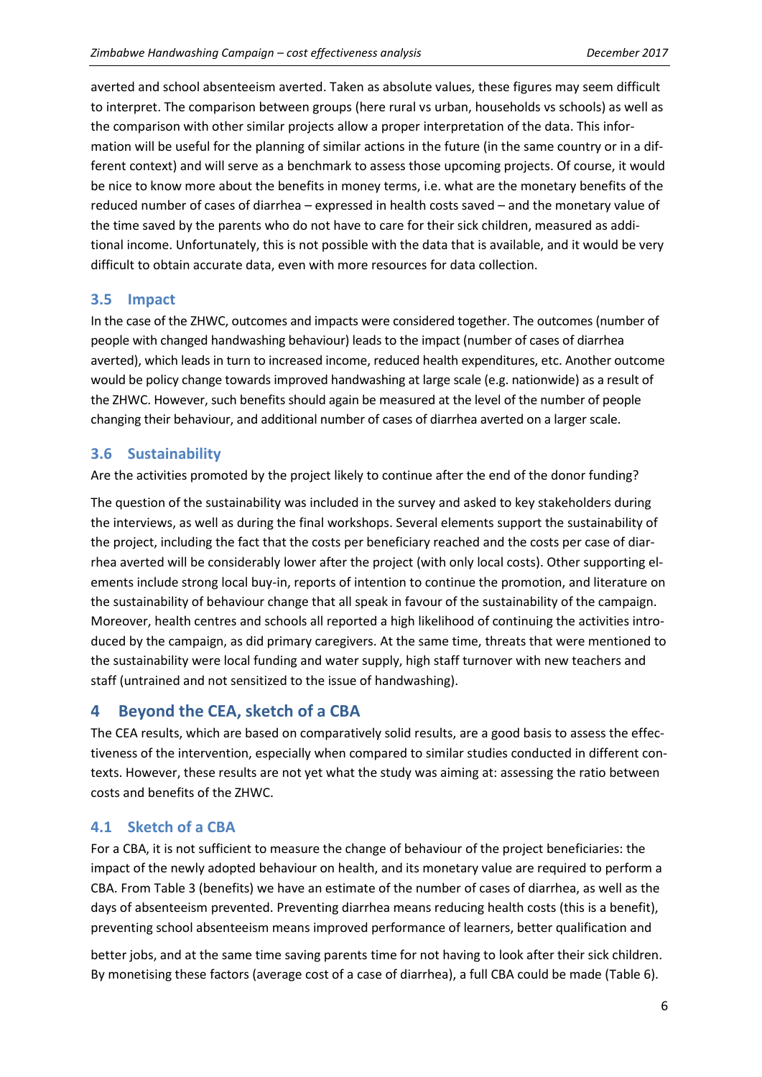averted and school absenteeism averted. Taken as absolute values, these figures may seem difficult to interpret. The comparison between groups (here rural vs urban, households vs schools) as well as the comparison with other similar projects allow a proper interpretation of the data. This information will be useful for the planning of similar actions in the future (in the same country or in a different context) and will serve as a benchmark to assess those upcoming projects. Of course, it would be nice to know more about the benefits in money terms, i.e. what are the monetary benefits of the reduced number of cases of diarrhea – expressed in health costs saved – and the monetary value of the time saved by the parents who do not have to care for their sick children, measured as additional income. Unfortunately, this is not possible with the data that is available, and it would be very difficult to obtain accurate data, even with more resources for data collection.

### **3.5 Impact**

In the case of the ZHWC, outcomes and impacts were considered together. The outcomes (number of people with changed handwashing behaviour) leads to the impact (number of cases of diarrhea averted), which leads in turn to increased income, reduced health expenditures, etc. Another outcome would be policy change towards improved handwashing at large scale (e.g. nationwide) as a result of the ZHWC. However, such benefits should again be measured at the level of the number of people changing their behaviour, and additional number of cases of diarrhea averted on a larger scale.

#### **3.6 Sustainability**

Are the activities promoted by the project likely to continue after the end of the donor funding?

The question of the sustainability was included in the survey and asked to key stakeholders during the interviews, as well as during the final workshops. Several elements support the sustainability of the project, including the fact that the costs per beneficiary reached and the costs per case of diarrhea averted will be considerably lower after the project (with only local costs). Other supporting elements include strong local buy-in, reports of intention to continue the promotion, and literature on the sustainability of behaviour change that all speak in favour of the sustainability of the campaign. Moreover, health centres and schools all reported a high likelihood of continuing the activities introduced by the campaign, as did primary caregivers. At the same time, threats that were mentioned to the sustainability were local funding and water supply, high staff turnover with new teachers and staff (untrained and not sensitized to the issue of handwashing).

# **4 Beyond the CEA, sketch of a CBA**

The CEA results, which are based on comparatively solid results, are a good basis to assess the effectiveness of the intervention, especially when compared to similar studies conducted in different contexts. However, these results are not yet what the study was aiming at: assessing the ratio between costs and benefits of the ZHWC.

## **4.1 Sketch of a CBA**

For a CBA, it is not sufficient to measure the change of behaviour of the project beneficiaries: the impact of the newly adopted behaviour on health, and its monetary value are required to perform a CBA. From Table 3 (benefits) we have an estimate of the number of cases of diarrhea, as well as the days of absenteeism prevented. Preventing diarrhea means reducing health costs (this is a benefit), preventing school absenteeism means improved performance of learners, better qualification and

better jobs, and at the same time saving parents time for not having to look after their sick children. By monetising these factors (average cost of a case of diarrhea), a full CBA could be made [\(Table 6\)](#page-6-0).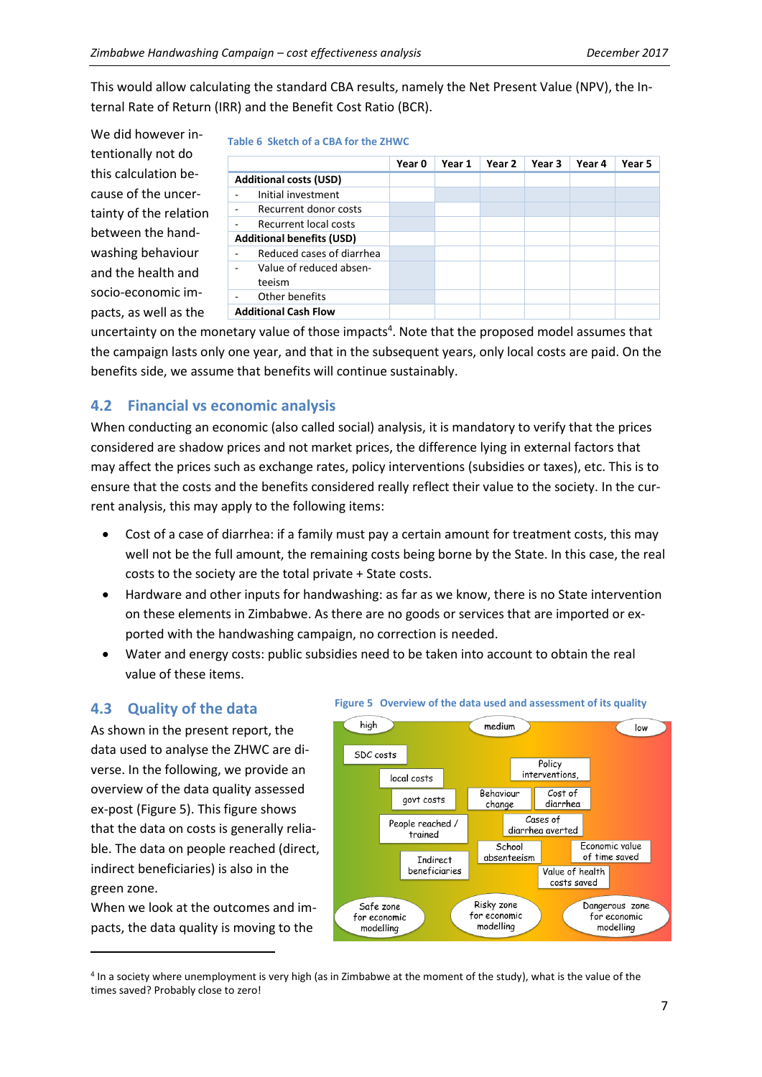This would allow calculating the standard CBA results, namely the Net Present Value (NPV), the Internal Rate of Return (IRR) and the Benefit Cost Ratio (BCR).

<span id="page-6-0"></span>**Table 6 Sketch of a CBA for the ZHWC**

We did however intentionally not do this calculation because of the uncertainty of the relation between the handwashing behaviour and the health and socio-economic impacts, as well as the

|                                                       | Year 0 | Year 1 | Year 2 | Year 3 | Year 4 | Year 5 |
|-------------------------------------------------------|--------|--------|--------|--------|--------|--------|
| <b>Additional costs (USD)</b>                         |        |        |        |        |        |        |
| Initial investment                                    |        |        |        |        |        |        |
| Recurrent donor costs<br>۰                            |        |        |        |        |        |        |
| Recurrent local costs<br>۰                            |        |        |        |        |        |        |
| <b>Additional benefits (USD)</b>                      |        |        |        |        |        |        |
| Reduced cases of diarrhea<br>$\overline{\phantom{0}}$ |        |        |        |        |        |        |
| Value of reduced absen-<br>۰<br>teeism                |        |        |        |        |        |        |
| Other benefits<br>۰                                   |        |        |        |        |        |        |
| <b>Additional Cash Flow</b>                           |        |        |        |        |        |        |

uncertainty on the monetary value of those impacts<sup>4</sup>. Note that the proposed model assumes that the campaign lasts only one year, and that in the subsequent years, only local costs are paid. On the benefits side, we assume that benefits will continue sustainably.

## **4.2 Financial vs economic analysis**

When conducting an economic (also called social) analysis, it is mandatory to verify that the prices considered are shadow prices and not market prices, the difference lying in external factors that may affect the prices such as exchange rates, policy interventions (subsidies or taxes), etc. This is to ensure that the costs and the benefits considered really reflect their value to the society. In the current analysis, this may apply to the following items:

- Cost of a case of diarrhea: if a family must pay a certain amount for treatment costs, this may well not be the full amount, the remaining costs being borne by the State. In this case, the real costs to the society are the total private + State costs.
- Hardware and other inputs for handwashing: as far as we know, there is no State intervention on these elements in Zimbabwe. As there are no goods or services that are imported or exported with the handwashing campaign, no correction is needed.
- Water and energy costs: public subsidies need to be taken into account to obtain the real value of these items.

# **4.3 Quality of the data**

As shown in the present report, the data used to analyse the ZHWC are diverse. In the following, we provide an overview of the data quality assessed ex-post (Figure 5). This figure shows that the data on costs is generally reliable. The data on people reached (direct, indirect beneficiaries) is also in the green zone.

When we look at the outcomes and impacts, the data quality is moving to the

 $\overline{a}$ 

#### **Figure 5 Overview of the data used and assessment of its quality**



4 In a society where unemployment is very high (as in Zimbabwe at the moment of the study), what is the value of the times saved? Probably close to zero!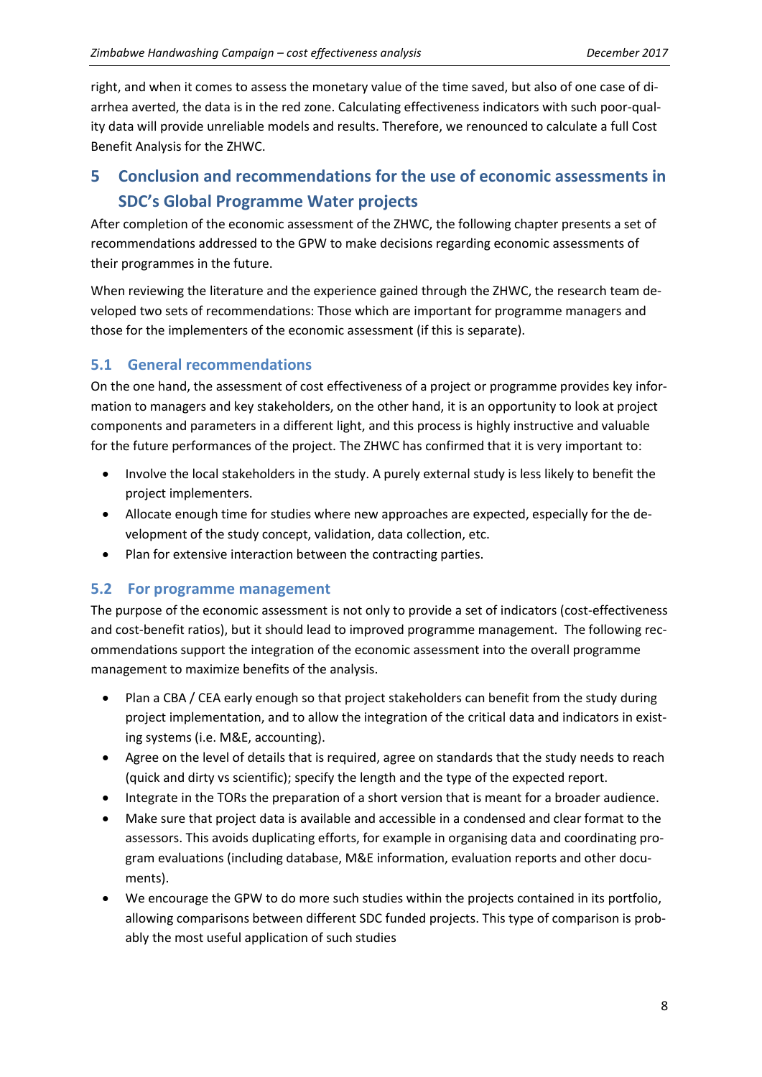right, and when it comes to assess the monetary value of the time saved, but also of one case of diarrhea averted, the data is in the red zone. Calculating effectiveness indicators with such poor-quality data will provide unreliable models and results. Therefore, we renounced to calculate a full Cost Benefit Analysis for the ZHWC.

# **5 Conclusion and recommendations for the use of economic assessments in SDC's Global Programme Water projects**

After completion of the economic assessment of the ZHWC, the following chapter presents a set of recommendations addressed to the GPW to make decisions regarding economic assessments of their programmes in the future.

When reviewing the literature and the experience gained through the ZHWC, the research team developed two sets of recommendations: Those which are important for programme managers and those for the implementers of the economic assessment (if this is separate).

## **5.1 General recommendations**

On the one hand, the assessment of cost effectiveness of a project or programme provides key information to managers and key stakeholders, on the other hand, it is an opportunity to look at project components and parameters in a different light, and this process is highly instructive and valuable for the future performances of the project. The ZHWC has confirmed that it is very important to:

- Involve the local stakeholders in the study. A purely external study is less likely to benefit the project implementers.
- Allocate enough time for studies where new approaches are expected, especially for the development of the study concept, validation, data collection, etc.
- Plan for extensive interaction between the contracting parties.

## **5.2 For programme management**

The purpose of the economic assessment is not only to provide a set of indicators (cost-effectiveness and cost-benefit ratios), but it should lead to improved programme management. The following recommendations support the integration of the economic assessment into the overall programme management to maximize benefits of the analysis.

- Plan a CBA / CEA early enough so that project stakeholders can benefit from the study during project implementation, and to allow the integration of the critical data and indicators in existing systems (i.e. M&E, accounting).
- Agree on the level of details that is required, agree on standards that the study needs to reach (quick and dirty vs scientific); specify the length and the type of the expected report.
- Integrate in the TORs the preparation of a short version that is meant for a broader audience.
- Make sure that project data is available and accessible in a condensed and clear format to the assessors. This avoids duplicating efforts, for example in organising data and coordinating program evaluations (including database, M&E information, evaluation reports and other documents).
- We encourage the GPW to do more such studies within the projects contained in its portfolio, allowing comparisons between different SDC funded projects. This type of comparison is probably the most useful application of such studies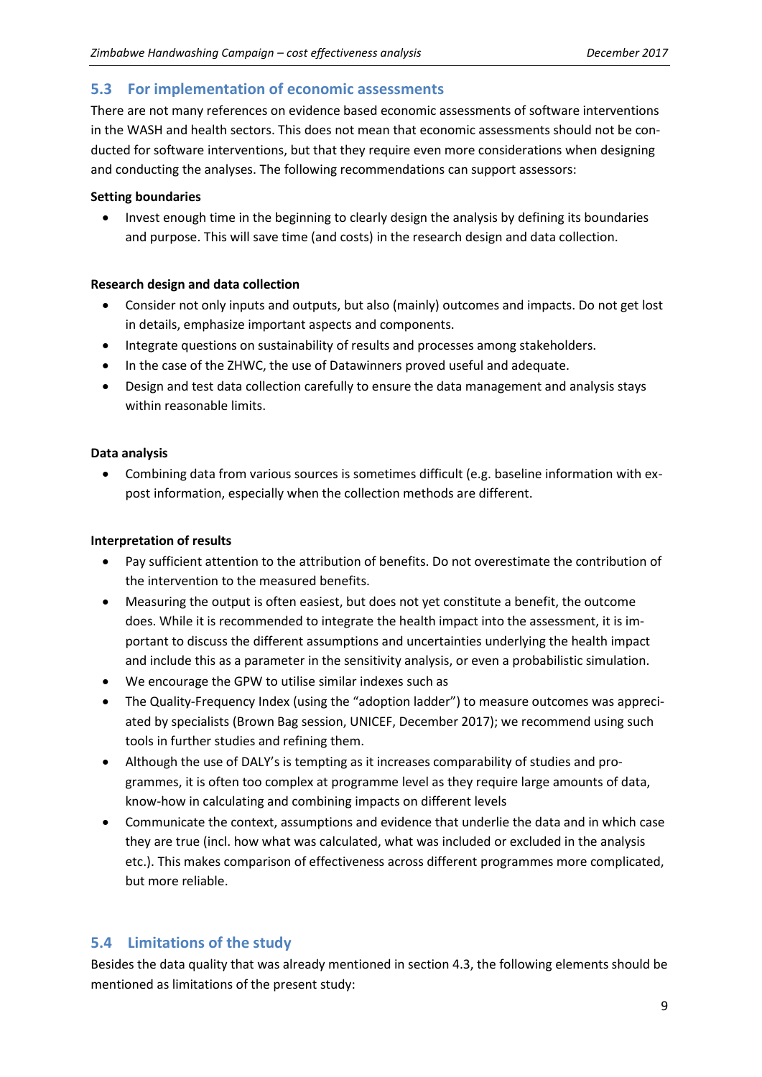#### **5.3 For implementation of economic assessments**

There are not many references on evidence based economic assessments of software interventions in the WASH and health sectors. This does not mean that economic assessments should not be conducted for software interventions, but that they require even more considerations when designing and conducting the analyses. The following recommendations can support assessors:

#### **Setting boundaries**

 Invest enough time in the beginning to clearly design the analysis by defining its boundaries and purpose. This will save time (and costs) in the research design and data collection.

#### **Research design and data collection**

- Consider not only inputs and outputs, but also (mainly) outcomes and impacts. Do not get lost in details, emphasize important aspects and components.
- Integrate questions on sustainability of results and processes among stakeholders.
- In the case of the ZHWC, the use of Datawinners proved useful and adequate.
- Design and test data collection carefully to ensure the data management and analysis stays within reasonable limits.

#### **Data analysis**

 Combining data from various sources is sometimes difficult (e.g. baseline information with expost information, especially when the collection methods are different.

#### **Interpretation of results**

- Pay sufficient attention to the attribution of benefits. Do not overestimate the contribution of the intervention to the measured benefits.
- Measuring the output is often easiest, but does not yet constitute a benefit, the outcome does. While it is recommended to integrate the health impact into the assessment, it is important to discuss the different assumptions and uncertainties underlying the health impact and include this as a parameter in the sensitivity analysis, or even a probabilistic simulation.
- We encourage the GPW to utilise similar indexes such as
- The Quality-Frequency Index (using the "adoption ladder") to measure outcomes was appreciated by specialists (Brown Bag session, UNICEF, December 2017); we recommend using such tools in further studies and refining them.
- Although the use of DALY's is tempting as it increases comparability of studies and programmes, it is often too complex at programme level as they require large amounts of data, know-how in calculating and combining impacts on different levels
- Communicate the context, assumptions and evidence that underlie the data and in which case they are true (incl. how what was calculated, what was included or excluded in the analysis etc.). This makes comparison of effectiveness across different programmes more complicated, but more reliable.

#### **5.4 Limitations of the study**

Besides the data quality that was already mentioned in section 4.3, the following elements should be mentioned as limitations of the present study: